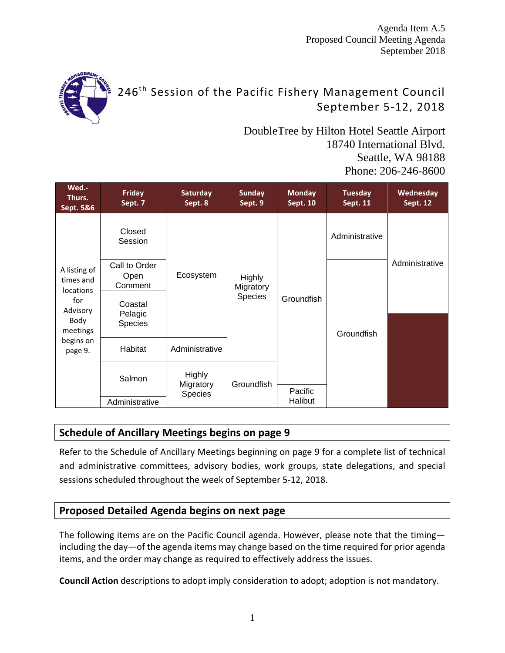Agenda Item A.5 Proposed Council Meeting Agenda September 2018



# 246<sup>th</sup> Session of the Pacific Fishery Management Council September 5‐12, 2018

DoubleTree by Hilton Hotel Seattle Airport 18740 International Blvd. Seattle, WA 98188 Phone: 206-246-8600

| Wed.-<br>Thurs.<br>Sept. 5&6                                                                                 | Friday<br>Sept. 7             | Saturday<br>Sept. 8  | <b>Sunday</b><br>Sept. 9                     | <b>Monday</b><br><b>Sept. 10</b> | <b>Tuesday</b><br><b>Sept. 11</b> | Wednesday<br><b>Sept. 12</b> |
|--------------------------------------------------------------------------------------------------------------|-------------------------------|----------------------|----------------------------------------------|----------------------------------|-----------------------------------|------------------------------|
|                                                                                                              | Closed<br>Session             |                      |                                              |                                  | Administrative                    |                              |
|                                                                                                              | Call to Order                 |                      |                                              | Groundfish                       |                                   | Administrative               |
| A listing of<br>times and<br><b>locations</b><br>for<br>Advisory<br>Body<br>meetings<br>begins on<br>page 9. | Open<br>Comment               | Ecosystem            | <b>Highly</b><br>Migratory<br><b>Species</b> |                                  | Groundfish                        |                              |
|                                                                                                              | Coastal<br>Pelagic<br>Species |                      |                                              |                                  |                                   |                              |
|                                                                                                              | Habitat                       | Administrative       |                                              |                                  |                                   |                              |
|                                                                                                              | Salmon                        | <b>Highly</b>        | Groundfish                                   |                                  |                                   |                              |
|                                                                                                              | Administrative                | Migratory<br>Species |                                              | Pacific<br>Halibut               |                                   |                              |

# **Schedule of Ancillary Meetings begins on page 9**

Refer to the Schedule of Ancillary Meetings beginning on page 9 for a complete list of technical and administrative committees, advisory bodies, work groups, state delegations, and special sessions scheduled throughout the week of September 5‐12, 2018.

# **Proposed Detailed Agenda begins on next page**

The following items are on the Pacific Council agenda. However, please note that the timing including the day—of the agenda items may change based on the time required for prior agenda items, and the order may change as required to effectively address the issues.

**Council Action** descriptions to adopt imply consideration to adopt; adoption is not mandatory.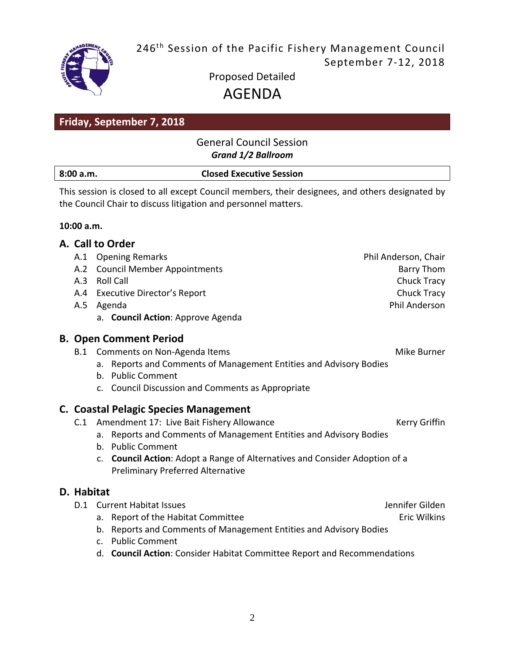246<sup>th</sup> Session of the Pacific Fishery Management Council September 7‐12, 2018



Proposed Detailed AGENDA

# **Friday, September 7, 2018**

## General Council Session *Grand 1/2 Ballroom*

| 8:00 a.m. | <b>Closed Executive Session</b> |
|-----------|---------------------------------|
|           |                                 |

This session is closed to all except Council members, their designees, and others designated by the Council Chair to discuss litigation and personnel matters.

#### **10:00 a.m.**

|            | A. Call to Order                                                            |                      |
|------------|-----------------------------------------------------------------------------|----------------------|
|            | A.1 Opening Remarks                                                         | Phil Anderson, Chair |
| A.2        | <b>Council Member Appointments</b>                                          | Barry Thom           |
|            | A.3 Roll Call                                                               | Chuck Tracy          |
|            | A.4 Executive Director's Report                                             | Chuck Tracy          |
|            | A.5 Agenda                                                                  | Phil Anderson        |
|            | a. Council Action: Approve Agenda                                           |                      |
|            | <b>B. Open Comment Period</b>                                               |                      |
| B.1        | Comments on Non-Agenda Items                                                | Mike Burner          |
|            | Reports and Comments of Management Entities and Advisory Bodies<br>a.       |                      |
|            | b. Public Comment                                                           |                      |
|            | c. Council Discussion and Comments as Appropriate                           |                      |
|            | <b>C. Coastal Pelagic Species Management</b>                                |                      |
| C.1        | Amendment 17: Live Bait Fishery Allowance                                   | Kerry Griffin        |
|            | Reports and Comments of Management Entities and Advisory Bodies<br>a.       |                      |
|            | b. Public Comment                                                           |                      |
|            | c. Council Action: Adopt a Range of Alternatives and Consider Adoption of a |                      |
|            | <b>Preliminary Preferred Alternative</b>                                    |                      |
| D. Habitat |                                                                             |                      |
| D.1        | <b>Current Habitat Issues</b>                                               | Jennifer Gilden      |
|            | a. Report of the Habitat Committee                                          | <b>Eric Wilkins</b>  |
|            | b. Reports and Comments of Management Entities and Advisory Bodies          |                      |
|            | <b>Public Comment</b><br>$\mathsf{C}$ .                                     |                      |
|            | d. Council Action: Consider Habitat Committee Report and Recommendations    |                      |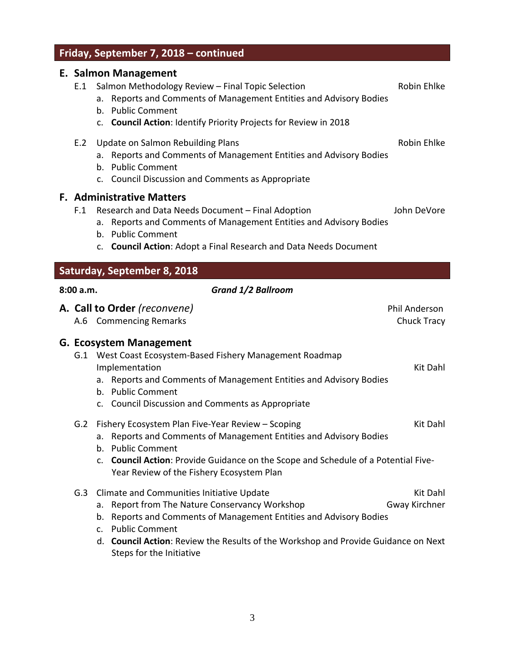# **Friday, September 7, 2018 – continued**

# **E. Salmon Management**

| E.1       | с. заппон манаденіент<br>Salmon Methodology Review - Final Topic Selection<br>Reports and Comments of Management Entities and Advisory Bodies<br>а.<br>b. Public Comment<br>c. Council Action: Identify Priority Projects for Review in 2018                  | Robin Ehlke                  |
|-----------|---------------------------------------------------------------------------------------------------------------------------------------------------------------------------------------------------------------------------------------------------------------|------------------------------|
| E.2       | Update on Salmon Rebuilding Plans<br>Reports and Comments of Management Entities and Advisory Bodies<br>а.<br>b. Public Comment<br>c. Council Discussion and Comments as Appropriate                                                                          | Robin Ehlke                  |
| F.1       | <b>F. Administrative Matters</b><br>Research and Data Needs Document - Final Adoption<br>Reports and Comments of Management Entities and Advisory Bodies<br>а.<br>b. Public Comment<br>c. Council Action: Adopt a Final Research and Data Needs Document      | John DeVore                  |
|           | Saturday, September 8, 2018                                                                                                                                                                                                                                   |                              |
| 8:00 a.m. | <b>Grand 1/2 Ballroom</b>                                                                                                                                                                                                                                     |                              |
|           | A. Call to Order (reconvene)<br>A.6 Commencing Remarks                                                                                                                                                                                                        | Phil Anderson<br>Chuck Tracy |
|           | <b>G. Ecosystem Management</b><br>G.1 West Coast Ecosystem-Based Fishery Management Roadmap<br>Implementation<br>a. Reports and Comments of Management Entities and Advisory Bodies<br>b. Public Comment<br>c. Council Discussion and Comments as Appropriate | Kit Dahl                     |
| G.2       | Fishery Ecosystem Plan Five-Year Review - Scoping<br>a. Reports and Comments of Management Entities and Advisory Bodies<br>b. Public Comment                                                                                                                  | Kit Dahl                     |
|           | Council Action: Provide Guidance on the Scope and Schedule of a Potential Five-<br>C.<br>Year Review of the Fishery Ecosystem Plan                                                                                                                            |                              |
| G.3       | Climate and Communities Initiative Update<br>Report from The Nature Conservancy Workshop<br>a.<br>Reports and Comments of Management Entities and Advisory Bodies<br>b.<br>c. Public Comment                                                                  | Kit Dahl<br>Gway Kirchner    |
|           | d. Council Action: Review the Results of the Workshop and Provide Guidance on Next<br>Steps for the Initiative                                                                                                                                                |                              |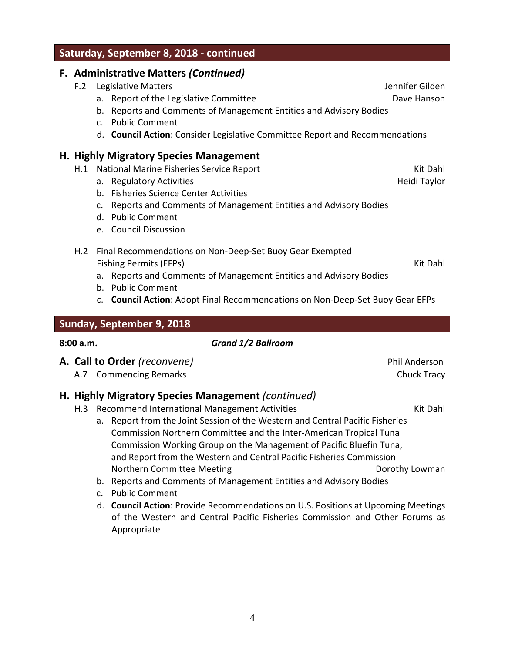**Saturday, September 8, 2018 ‐ continued**

#### **F. Administrative Matters** *(Continued)*

- F.2 Legislative Matters **F.2** Legislative Matters
	- a. Report of the Legislative Committee **Dave Hanson** Dave Hanson
	- b. Reports and Comments of Management Entities and Advisory Bodies
	- c. Public Comment
	- d. **Council Action**: Consider Legislative Committee Report and Recommendations

#### **H. Highly Migratory Species Management**

- H.1 National Marine Fisheries Service Report New York Network Channel Kit Dahl
	- a. Regulatory Activities **Heidi Taylor Business Activities** Activities and Activities and Activities and Activities and Activities and Activities and Activities and Activities and Activities and Activities and Activities
	- b. Fisheries Science Center Activities
	- c. Reports and Comments of Management Entities and Advisory Bodies
	- d. Public Comment
	- e. Council Discussion
- H.2 Final Recommendations on Non‐Deep‐Set Buoy Gear Exempted Fishing Permits (EFPs) Kit Dahl

- a. Reports and Comments of Management Entities and Advisory Bodies
- b. Public Comment
- c. **Council Action**: Adopt Final Recommendations on Non‐Deep‐Set Buoy Gear EFPs

#### **Sunday, September 9, 2018**

#### **8:00 a.m.** *Grand 1/2 Ballroom*

- **A. Call to Order** *(reconvene)* Phil Anderson
	- A.7 Commencing Remarks **Chuck Tracy** Chuck Tracy

#### **H. Highly Migratory Species Management** *(continued)*

- H.3 Recommend International Management Activities Kit Dahl
	- a. Report from the Joint Session of the Western and Central Pacific Fisheries Commission Northern Committee and the Inter‐American Tropical Tuna Commission Working Group on the Management of Pacific Bluefin Tuna, and Report from the Western and Central Pacific Fisheries Commission Northern Committee Meeting Northern Committee Meeting Dorothy Lowman
	- b. Reports and Comments of Management Entities and Advisory Bodies
	- c. Public Comment
	- d. **Council Action**: Provide Recommendations on U.S. Positions at Upcoming Meetings of the Western and Central Pacific Fisheries Commission and Other Forums as Appropriate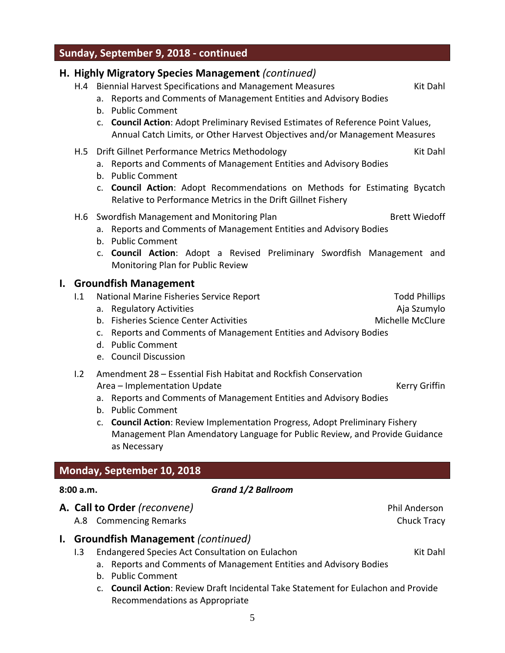# **Sunday, September 9, 2018 ‐ continued**

# **H. Highly Migratory Species Management** *(continued)* H.4 Biennial Harvest Specifications and Management Measures Theorem Rit Dahl a. Reports and Comments of Management Entities and Advisory Bodies b. Public Comment c. **Council Action**: Adopt Preliminary Revised Estimates of Reference Point Values, Annual Catch Limits, or Other Harvest Objectives and/or Management Measures H.5 Drift Gillnet Performance Metrics Methodology entitled and the South State Kit Dahl a. Reports and Comments of Management Entities and Advisory Bodies b. Public Comment c. **Council Action**: Adopt Recommendations on Methods for Estimating Bycatch Relative to Performance Metrics in the Drift Gillnet Fishery H.6 Swordfish Management and Monitoring Plan Bread Brett Wiedoff a. Reports and Comments of Management Entities and Advisory Bodies b. Public Comment c. **Council Action**: Adopt a Revised Preliminary Swordfish Management and Monitoring Plan for Public Review **I. Groundfish Management** I.1 National Marine Fisheries Service Report National According Todd Phillips a. Regulatory Activities **Algebra 2018** and Aja Szumylo b. Fisheries Science Center Activities Michael Michelle McClure c. Reports and Comments of Management Entities and Advisory Bodies d. Public Comment e. Council Discussion I.2 Amendment 28 – Essential Fish Habitat and Rockfish Conservation Area – Implementation Update New York Channels Area Kerry Griffin a. Reports and Comments of Management Entities and Advisory Bodies b. Public Comment c. **Council Action**: Review Implementation Progress, Adopt Preliminary Fishery Management Plan Amendatory Language for Public Review, and Provide Guidance as Necessary

# **Monday, September 10, 2018**

#### **8:00 a.m.** *Grand 1/2 Ballroom*

# **A. Call to Order** *(reconvene)* Phil Anderson

A.8 Commencing Remarks **Chuck Tracy** Chuck Tracy

### **I. Groundfish Management** *(continued)*

- I.3 Endangered Species Act Consultation on Eulachon Kit Dahl Kit Dahl
	- a. Reports and Comments of Management Entities and Advisory Bodies
	- b. Public Comment
	- c. **Council Action**: Review Draft Incidental Take Statement for Eulachon and Provide Recommendations as Appropriate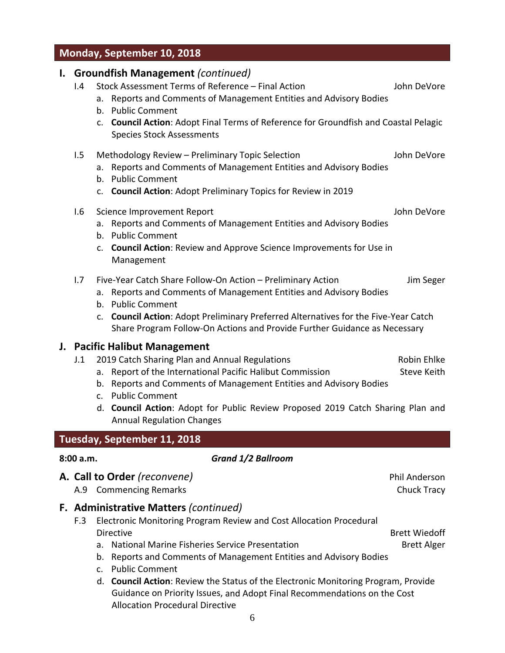## **Monday, September 10, 2018**

#### **I. Groundfish Management** *(continued)*

- I.4 Stock Assessment Terms of Reference Final Action John DeVore
	- a. Reports and Comments of Management Entities and Advisory Bodies
	- b. Public Comment
	- c. **Council Action**: Adopt Final Terms of Reference for Groundfish and Coastal Pelagic Species Stock Assessments

| 1.5 Methodology Review – Preliminary Topic Selection | John DeVore |
|------------------------------------------------------|-------------|
|                                                      |             |

- a. Reports and Comments of Management Entities and Advisory Bodies
- b. Public Comment
- c. **Council Action**: Adopt Preliminary Topics for Review in 2019

#### I.6 Science Improvement Report John DeVore

- a. Reports and Comments of Management Entities and Advisory Bodies
- b. Public Comment
- c. **Council Action**: Review and Approve Science Improvements for Use in Management
- I.7 Five-Year Catch Share Follow-On Action Preliminary Action Jum Seger
	- a. Reports and Comments of Management Entities and Advisory Bodies
	- b. Public Comment
	- c. **Council Action**: Adopt Preliminary Preferred Alternatives for the Five‐Year Catch Share Program Follow‐On Actions and Provide Further Guidance as Necessary

#### **J. Pacific Halibut Management**

- J.1 2019 Catch Sharing Plan and Annual Regulations The Communication Robin Ehlke
	- a. Report of the International Pacific Halibut Commission Steve Keith
	- b. Reports and Comments of Management Entities and Advisory Bodies
	- c. Public Comment
	- d. **Council Action**: Adopt for Public Review Proposed 2019 Catch Sharing Plan and Annual Regulation Changes

### **Tuesday, September 11, 2018**

#### **8:00 a.m.** *Grand 1/2 Ballroom*

- **A. Call to Order** *(reconvene)* Phil Anderson
	- A.9 Commencing Remarks **Chuck Tracy**
- **F. Administrative Matters** *(continued)*
	- F.3 Electronic Monitoring Program Review and Cost Allocation Procedural Directive Brett Wiedoff
		- a. National Marine Fisheries Service Presentation **Brett Alger** Brett Alger
		- b. Reports and Comments of Management Entities and Advisory Bodies
		- c. Public Comment
		- d. **Council Action**: Review the Status of the Electronic Monitoring Program, Provide Guidance on Priority Issues, and Adopt Final Recommendations on the Cost Allocation Procedural Directive

6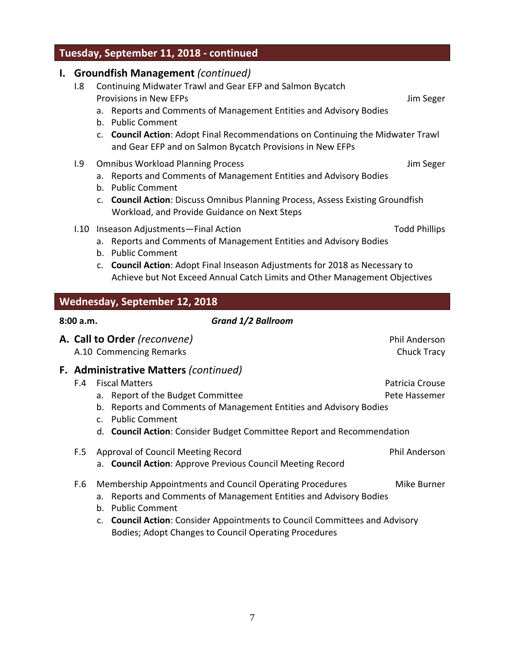# **Tuesday, September 11, 2018 ‐ continued**

# **I. Groundfish Management** *(continued)*

- I.8 Continuing Midwater Trawl and Gear EFP and Salmon Bycatch Provisions in New EFPs **Jim Seger** Jim Seger
	- a. Reports and Comments of Management Entities and Advisory Bodies
	- b. Public Comment
	- c. **Council Action**: Adopt Final Recommendations on Continuing the Midwater Trawl and Gear EFP and on Salmon Bycatch Provisions in New EFPs
- I.9 Omnibus Workload Planning Process **International Security** Seger
	- a. Reports and Comments of Management Entities and Advisory Bodies
	- b. Public Comment
	- c. **Council Action**: Discuss Omnibus Planning Process, Assess Existing Groundfish Workload, and Provide Guidance on Next Steps
- I.10 Inseason Adjustments—Final Action Todd Phillips
	-
	- a. Reports and Comments of Management Entities and Advisory Bodies
	- b. Public Comment
	- c. **Council Action**: Adopt Final Inseason Adjustments for 2018 as Necessary to Achieve but Not Exceed Annual Catch Limits and Other Management Objectives

# **Wednesday, September 12, 2018**

#### **8:00 a.m.** *Grand 1/2 Ballroom*

|     |                   | A. Call to Order (reconvene)<br>A.10 Commencing Remarks                                                                                                                                                                                                                                      | <b>Phil Anderson</b><br>Chuck Tracy |
|-----|-------------------|----------------------------------------------------------------------------------------------------------------------------------------------------------------------------------------------------------------------------------------------------------------------------------------------|-------------------------------------|
| F.4 | b.<br>$C_{\cdot}$ | F. Administrative Matters (continued)<br><b>Fiscal Matters</b><br>a. Report of the Budget Committee<br>Reports and Comments of Management Entities and Advisory Bodies<br><b>Public Comment</b>                                                                                              | Patricia Crouse<br>Pete Hassemer    |
|     |                   | d. Council Action: Consider Budget Committee Report and Recommendation                                                                                                                                                                                                                       |                                     |
| F.5 |                   | Approval of Council Meeting Record<br>a. Council Action: Approve Previous Council Meeting Record                                                                                                                                                                                             | <b>Phil Anderson</b>                |
| F.6 | a.<br>b.          | Membership Appointments and Council Operating Procedures<br>Reports and Comments of Management Entities and Advisory Bodies<br><b>Public Comment</b><br>c. Council Action: Consider Appointments to Council Committees and Advisory<br>Bodies; Adopt Changes to Council Operating Procedures | Mike Burner                         |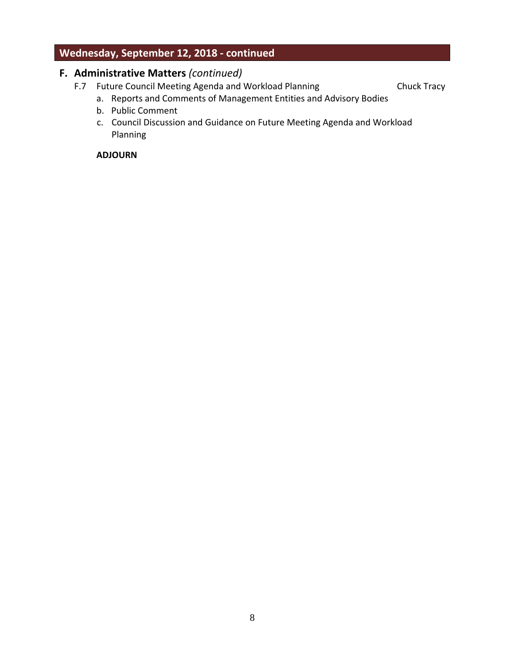# **Wednesday, September 12, 2018 ‐ continued**

#### **F. Administrative Matters** *(continued)*

- F.7 Future Council Meeting Agenda and Workload Planning Chuck Tracy
	-
	- a. Reports and Comments of Management Entities and Advisory Bodies
	- b. Public Comment
	- c. Council Discussion and Guidance on Future Meeting Agenda and Workload Planning

#### **ADJOURN**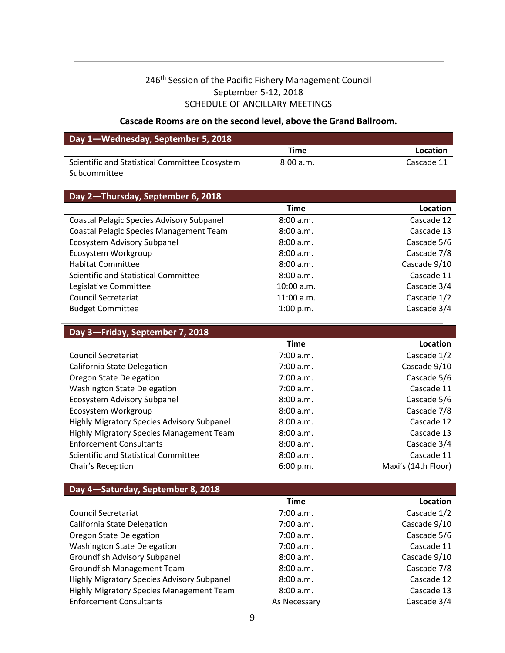# 246<sup>th</sup> Session of the Pacific Fishery Management Council September 5‐12, 2018 SCHEDULE OF ANCILLARY MEETINGS

#### **Cascade Rooms are on the second level, above the Grand Ballroom.**

| Day 1-Wednesday, September 5, 2018             |           |            |  |
|------------------------------------------------|-----------|------------|--|
|                                                | Time      | Location   |  |
| Scientific and Statistical Committee Ecosystem | 8:00 a.m. | Cascade 11 |  |
| Subcommittee                                   |           |            |  |

| Day 2-Thursday, September 6, 2018         |              |              |  |  |
|-------------------------------------------|--------------|--------------|--|--|
|                                           | <b>Time</b>  | Location     |  |  |
| Coastal Pelagic Species Advisory Subpanel | 8:00 a.m.    | Cascade 12   |  |  |
| Coastal Pelagic Species Management Team   | 8:00a.m.     | Cascade 13   |  |  |
| Ecosystem Advisory Subpanel               | 8:00 a.m.    | Cascade 5/6  |  |  |
| Ecosystem Workgroup                       | 8:00 a.m.    | Cascade 7/8  |  |  |
| <b>Habitat Committee</b>                  | 8:00a.m.     | Cascade 9/10 |  |  |
| Scientific and Statistical Committee      | 8:00a.m.     | Cascade 11   |  |  |
| Legislative Committee                     | 10:00 a.m.   | Cascade 3/4  |  |  |
| <b>Council Secretariat</b>                | $11:00$ a.m. | Cascade 1/2  |  |  |
| <b>Budget Committee</b>                   | 1:00 p.m.    | Cascade 3/4  |  |  |

### **Day 3—Friday, September 7, 2018**

|                                                   | <b>Time</b> | Location            |
|---------------------------------------------------|-------------|---------------------|
| <b>Council Secretariat</b>                        | 7:00 a.m.   | Cascade 1/2         |
| California State Delegation                       | 7:00 a.m.   | Cascade 9/10        |
| Oregon State Delegation                           | 7:00 a.m.   | Cascade 5/6         |
| <b>Washington State Delegation</b>                | 7:00 a.m.   | Cascade 11          |
| Ecosystem Advisory Subpanel                       | 8:00 a.m.   | Cascade 5/6         |
| Ecosystem Workgroup                               | 8:00 a.m.   | Cascade 7/8         |
| <b>Highly Migratory Species Advisory Subpanel</b> | 8:00 a.m.   | Cascade 12          |
| <b>Highly Migratory Species Management Team</b>   | 8:00 a.m.   | Cascade 13          |
| <b>Enforcement Consultants</b>                    | 8:00 a.m.   | Cascade 3/4         |
| Scientific and Statistical Committee              | 8:00 a.m.   | Cascade 11          |
| Chair's Reception                                 | 6:00 p.m.   | Maxi's (14th Floor) |

#### **Day 4—Saturday, September 8, 2018**

|                                            | Time         | Location     |
|--------------------------------------------|--------------|--------------|
| <b>Council Secretariat</b>                 | 7:00 a.m.    | Cascade 1/2  |
| California State Delegation                | 7:00 a.m.    | Cascade 9/10 |
| <b>Oregon State Delegation</b>             | 7:00 a.m.    | Cascade 5/6  |
| <b>Washington State Delegation</b>         | 7:00 a.m.    | Cascade 11   |
| <b>Groundfish Advisory Subpanel</b>        | 8:00 a.m.    | Cascade 9/10 |
| Groundfish Management Team                 | 8:00 a.m.    | Cascade 7/8  |
| Highly Migratory Species Advisory Subpanel | 8:00 a.m.    | Cascade 12   |
| Highly Migratory Species Management Team   | 8:00 a.m.    | Cascade 13   |
| <b>Enforcement Consultants</b>             | As Necessary | Cascade 3/4  |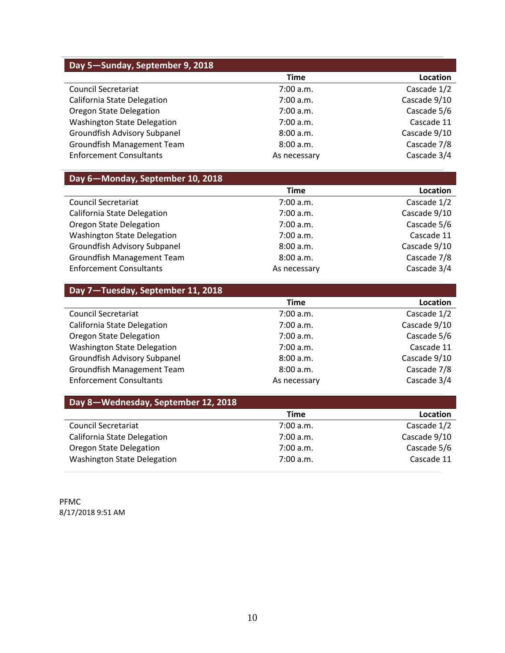| Day 5-Sunday, September 9, 2018    |              |              |  |
|------------------------------------|--------------|--------------|--|
|                                    | Time         | Location     |  |
| <b>Council Secretariat</b>         | 7:00 a.m.    | Cascade 1/2  |  |
| California State Delegation        | 7:00 a.m.    | Cascade 9/10 |  |
| <b>Oregon State Delegation</b>     | 7:00 a.m.    | Cascade 5/6  |  |
| <b>Washington State Delegation</b> | 7:00 a.m.    | Cascade 11   |  |
| Groundfish Advisory Subpanel       | 8:00 a.m.    | Cascade 9/10 |  |
| Groundfish Management Team         | 8:00 a.m.    | Cascade 7/8  |  |
| <b>Enforcement Consultants</b>     | As necessary | Cascade 3/4  |  |

#### **Day 6—Monday, September 10, 2018 Time Location** Council Secretariat 7:00 a.m. Cascade 1/2 California State Delegation and Townston Cascade 9/10 Oregon State Delegation and Townstown 7:00 a.m. Cascade 5/6 Washington State Delegation **7:00 a.m.** The State 11 Groundfish Advisory Subpanel and B.00 a.m. Cascade 9/10 Groundfish Management Team and B.00 a.m. Cascade 7/8 Enforcement Consultants **As necessary** As necessary Cascade 3/4

| Day 7-Tuesday, September 11, 2018   |              |              |  |
|-------------------------------------|--------------|--------------|--|
|                                     | Time         | Location     |  |
| <b>Council Secretariat</b>          | 7:00 a.m.    | Cascade 1/2  |  |
| California State Delegation         | 7:00 a.m.    | Cascade 9/10 |  |
| <b>Oregon State Delegation</b>      | 7:00 a.m.    | Cascade 5/6  |  |
| <b>Washington State Delegation</b>  | 7:00 a.m.    | Cascade 11   |  |
| <b>Groundfish Advisory Subpanel</b> | 8:00 a.m.    | Cascade 9/10 |  |
| Groundfish Management Team          | 8:00 a.m.    | Cascade 7/8  |  |
| <b>Enforcement Consultants</b>      | As necessary | Cascade 3/4  |  |

| Day 8-Wednesday, September 12, 2018 |             |              |  |  |  |  |  |
|-------------------------------------|-------------|--------------|--|--|--|--|--|
|                                     | <b>Time</b> | Location     |  |  |  |  |  |
| <b>Council Secretariat</b>          | 7:00 a.m.   | Cascade 1/2  |  |  |  |  |  |
| California State Delegation         | 7:00 a.m.   | Cascade 9/10 |  |  |  |  |  |
| Oregon State Delegation             | 7:00 a.m.   | Cascade 5/6  |  |  |  |  |  |
| <b>Washington State Delegation</b>  | 7:00 a.m.   | Cascade 11   |  |  |  |  |  |

PFMC 8/17/2018 9:51 AM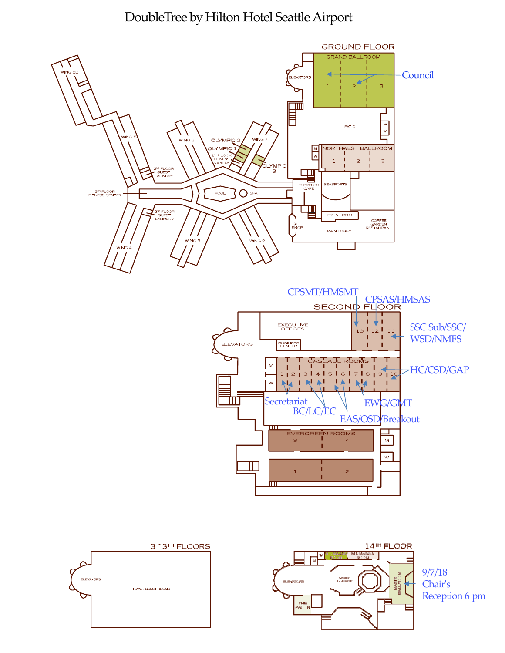# DoubleTree by Hilton Hotel Seattle Airport







9/7/18 Chairʹs Reception 6 pm